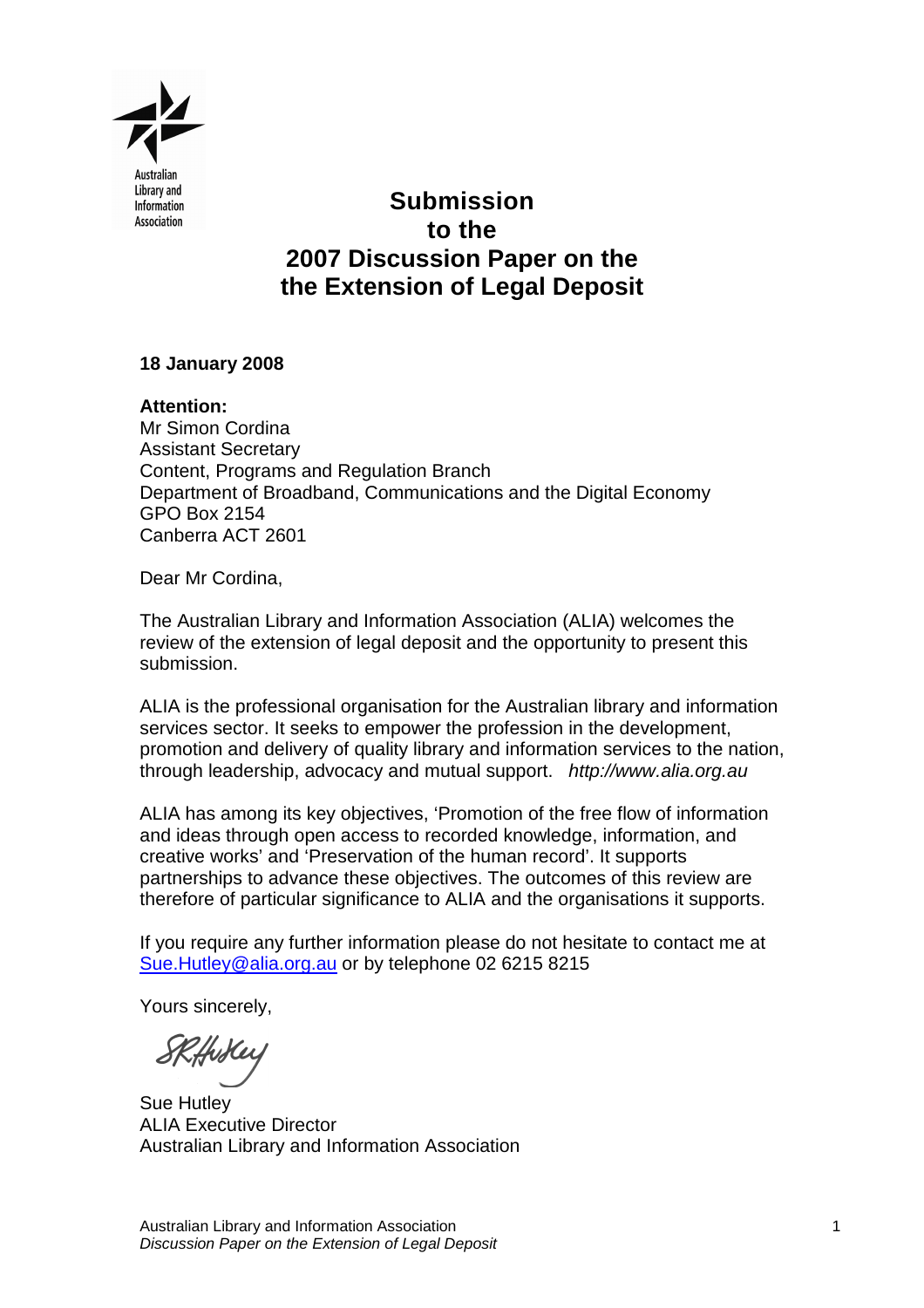

# **Submission to the 2007 Discussion Paper on the the Extension of Legal Deposit**

# **18 January 2008**

**Attention:**  Mr Simon Cordina Assistant Secretary Content, Programs and Regulation Branch Department of Broadband, Communications and the Digital Economy GPO Box 2154 Canberra ACT 2601

Dear Mr Cordina,

The Australian Library and Information Association (ALIA) welcomes the review of the extension of legal deposit and the opportunity to present this submission.

ALIA is the professional organisation for the Australian library and information services sector. It seeks to empower the profession in the development, promotion and delivery of quality library and information services to the nation, through leadership, advocacy and mutual support. http://www.alia.org.au

ALIA has among its key objectives, 'Promotion of the free flow of information and ideas through open access to recorded knowledge, information, and creative works' and 'Preservation of the human record'. It supports partnerships to advance these objectives. The outcomes of this review are therefore of particular significance to ALIA and the organisations it supports.

If you require any further information please do not hesitate to contact me at Sue.Hutley@alia.org.au or by telephone 02 6215 8215

Yours sincerely,

Hukey

Sue Hutley ALIA Executive Director Australian Library and Information Association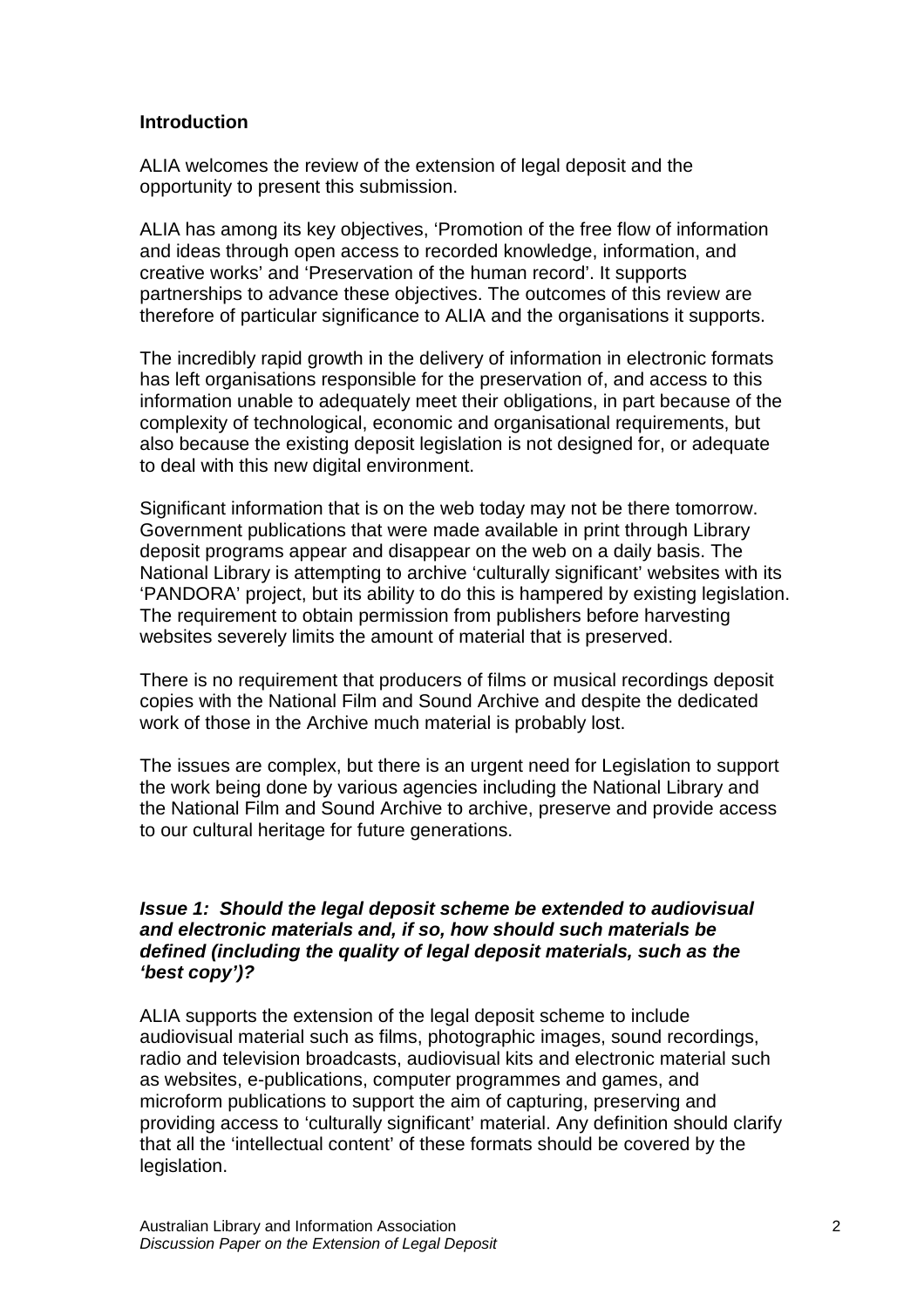# **Introduction**

ALIA welcomes the review of the extension of legal deposit and the opportunity to present this submission.

ALIA has among its key objectives, 'Promotion of the free flow of information and ideas through open access to recorded knowledge, information, and creative works' and 'Preservation of the human record'. It supports partnerships to advance these objectives. The outcomes of this review are therefore of particular significance to ALIA and the organisations it supports.

The incredibly rapid growth in the delivery of information in electronic formats has left organisations responsible for the preservation of, and access to this information unable to adequately meet their obligations, in part because of the complexity of technological, economic and organisational requirements, but also because the existing deposit legislation is not designed for, or adequate to deal with this new digital environment.

Significant information that is on the web today may not be there tomorrow. Government publications that were made available in print through Library deposit programs appear and disappear on the web on a daily basis. The National Library is attempting to archive 'culturally significant' websites with its 'PANDORA' project, but its ability to do this is hampered by existing legislation. The requirement to obtain permission from publishers before harvesting websites severely limits the amount of material that is preserved.

There is no requirement that producers of films or musical recordings deposit copies with the National Film and Sound Archive and despite the dedicated work of those in the Archive much material is probably lost.

The issues are complex, but there is an urgent need for Legislation to support the work being done by various agencies including the National Library and the National Film and Sound Archive to archive, preserve and provide access to our cultural heritage for future generations.

# **Issue 1: Should the legal deposit scheme be extended to audiovisual and electronic materials and, if so, how should such materials be defined (including the quality of legal deposit materials, such as the 'best copy')?**

ALIA supports the extension of the legal deposit scheme to include audiovisual material such as films, photographic images, sound recordings, radio and television broadcasts, audiovisual kits and electronic material such as websites, e-publications, computer programmes and games, and microform publications to support the aim of capturing, preserving and providing access to 'culturally significant' material. Any definition should clarify that all the 'intellectual content' of these formats should be covered by the legislation.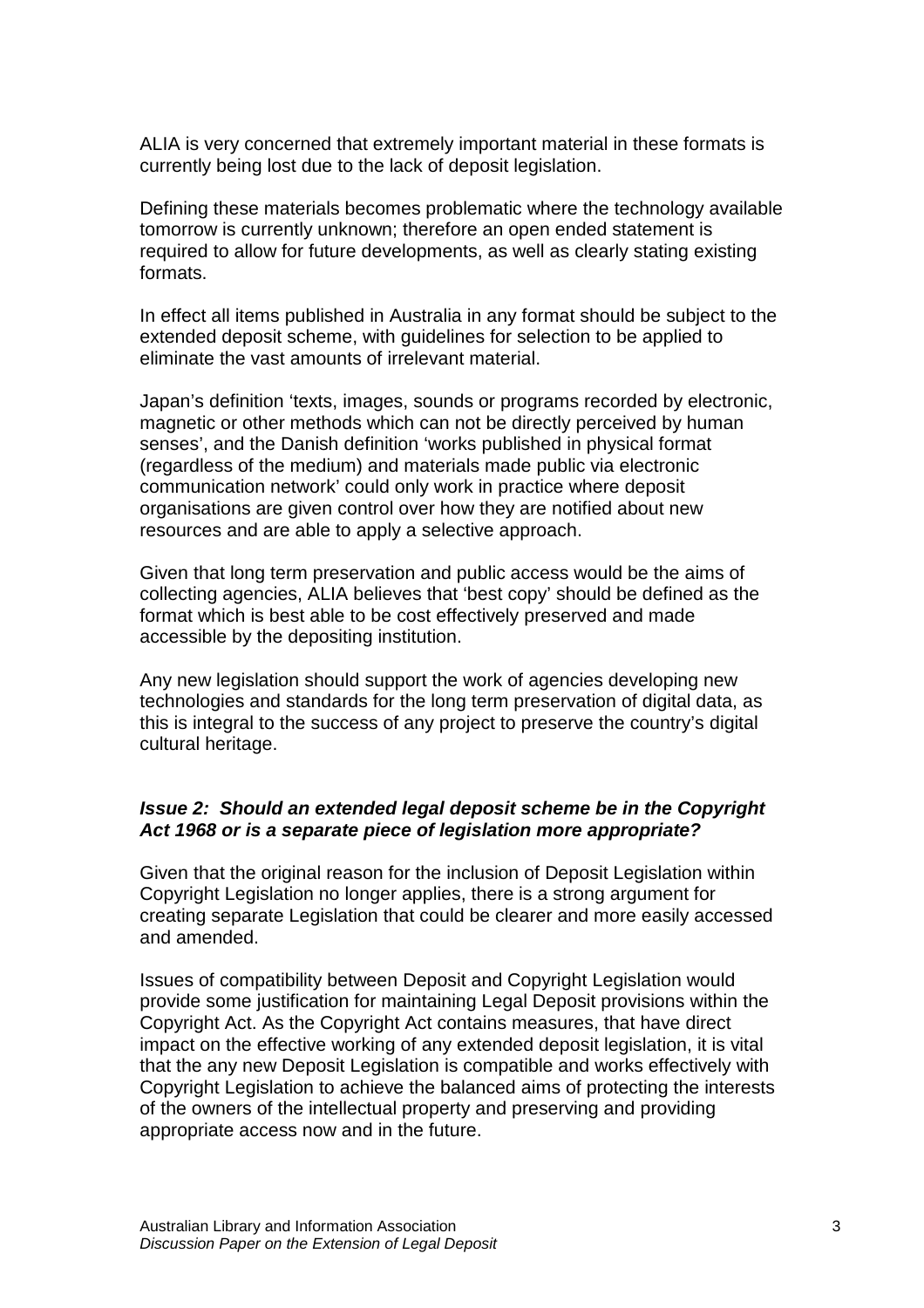ALIA is very concerned that extremely important material in these formats is currently being lost due to the lack of deposit legislation.

Defining these materials becomes problematic where the technology available tomorrow is currently unknown; therefore an open ended statement is required to allow for future developments, as well as clearly stating existing formats.

In effect all items published in Australia in any format should be subject to the extended deposit scheme, with guidelines for selection to be applied to eliminate the vast amounts of irrelevant material.

Japan's definition 'texts, images, sounds or programs recorded by electronic, magnetic or other methods which can not be directly perceived by human senses', and the Danish definition 'works published in physical format (regardless of the medium) and materials made public via electronic communication network' could only work in practice where deposit organisations are given control over how they are notified about new resources and are able to apply a selective approach.

Given that long term preservation and public access would be the aims of collecting agencies, ALIA believes that 'best copy' should be defined as the format which is best able to be cost effectively preserved and made accessible by the depositing institution.

Any new legislation should support the work of agencies developing new technologies and standards for the long term preservation of digital data, as this is integral to the success of any project to preserve the country's digital cultural heritage.

# **Issue 2: Should an extended legal deposit scheme be in the Copyright Act 1968 or is a separate piece of legislation more appropriate?**

Given that the original reason for the inclusion of Deposit Legislation within Copyright Legislation no longer applies, there is a strong argument for creating separate Legislation that could be clearer and more easily accessed and amended.

Issues of compatibility between Deposit and Copyright Legislation would provide some justification for maintaining Legal Deposit provisions within the Copyright Act. As the Copyright Act contains measures, that have direct impact on the effective working of any extended deposit legislation, it is vital that the any new Deposit Legislation is compatible and works effectively with Copyright Legislation to achieve the balanced aims of protecting the interests of the owners of the intellectual property and preserving and providing appropriate access now and in the future.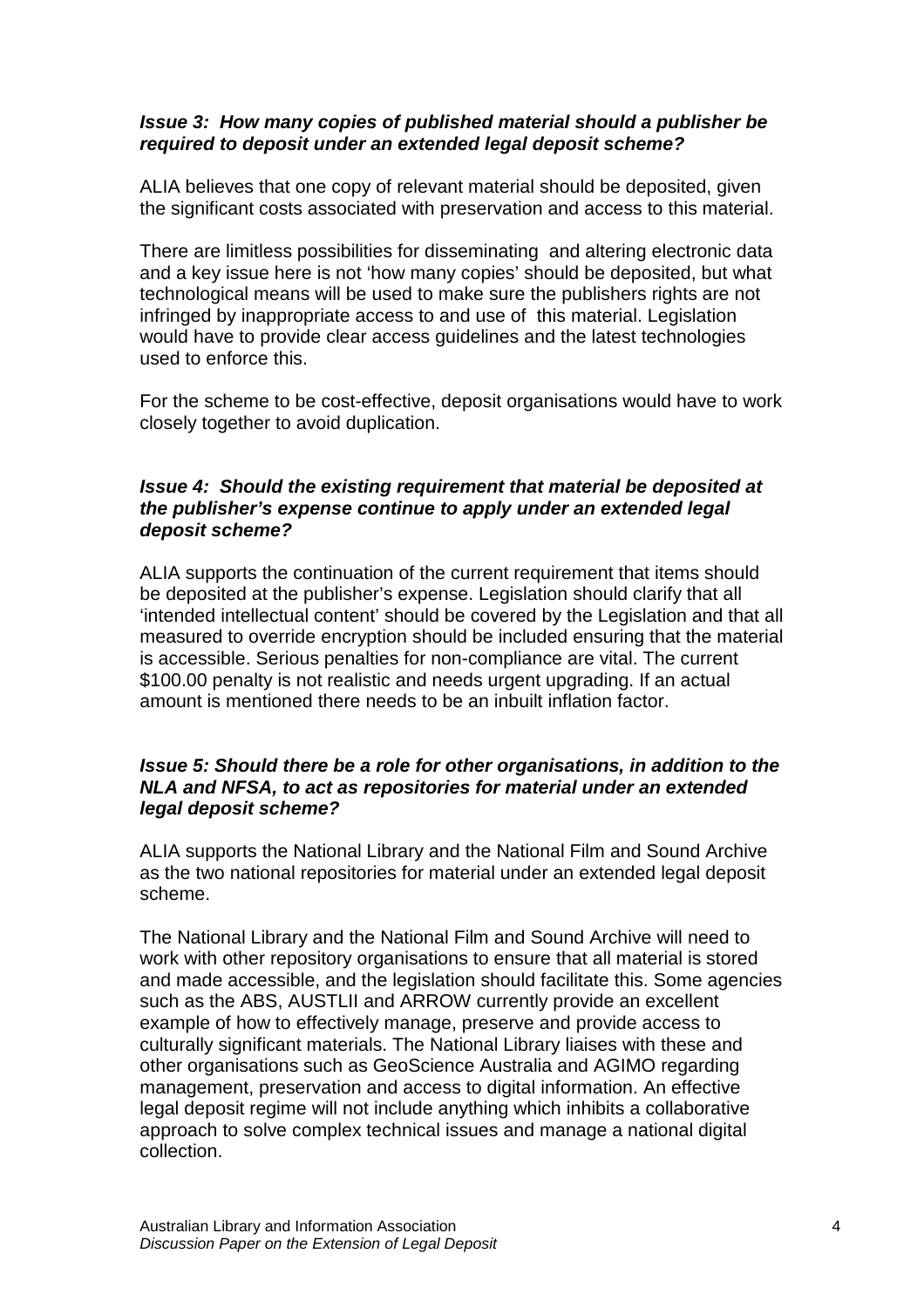# **Issue 3: How many copies of published material should a publisher be required to deposit under an extended legal deposit scheme?**

ALIA believes that one copy of relevant material should be deposited, given the significant costs associated with preservation and access to this material.

There are limitless possibilities for disseminating and altering electronic data and a key issue here is not 'how many copies' should be deposited, but what technological means will be used to make sure the publishers rights are not infringed by inappropriate access to and use of this material. Legislation would have to provide clear access guidelines and the latest technologies used to enforce this.

For the scheme to be cost-effective, deposit organisations would have to work closely together to avoid duplication.

# **Issue 4: Should the existing requirement that material be deposited at the publisher's expense continue to apply under an extended legal deposit scheme?**

ALIA supports the continuation of the current requirement that items should be deposited at the publisher's expense. Legislation should clarify that all 'intended intellectual content' should be covered by the Legislation and that all measured to override encryption should be included ensuring that the material is accessible. Serious penalties for non-compliance are vital. The current \$100.00 penalty is not realistic and needs urgent upgrading. If an actual amount is mentioned there needs to be an inbuilt inflation factor.

# **Issue 5: Should there be a role for other organisations, in addition to the NLA and NFSA, to act as repositories for material under an extended legal deposit scheme?**

ALIA supports the National Library and the National Film and Sound Archive as the two national repositories for material under an extended legal deposit scheme.

The National Library and the National Film and Sound Archive will need to work with other repository organisations to ensure that all material is stored and made accessible, and the legislation should facilitate this. Some agencies such as the ABS, AUSTLII and ARROW currently provide an excellent example of how to effectively manage, preserve and provide access to culturally significant materials. The National Library liaises with these and other organisations such as GeoScience Australia and AGIMO regarding management, preservation and access to digital information. An effective legal deposit regime will not include anything which inhibits a collaborative approach to solve complex technical issues and manage a national digital collection.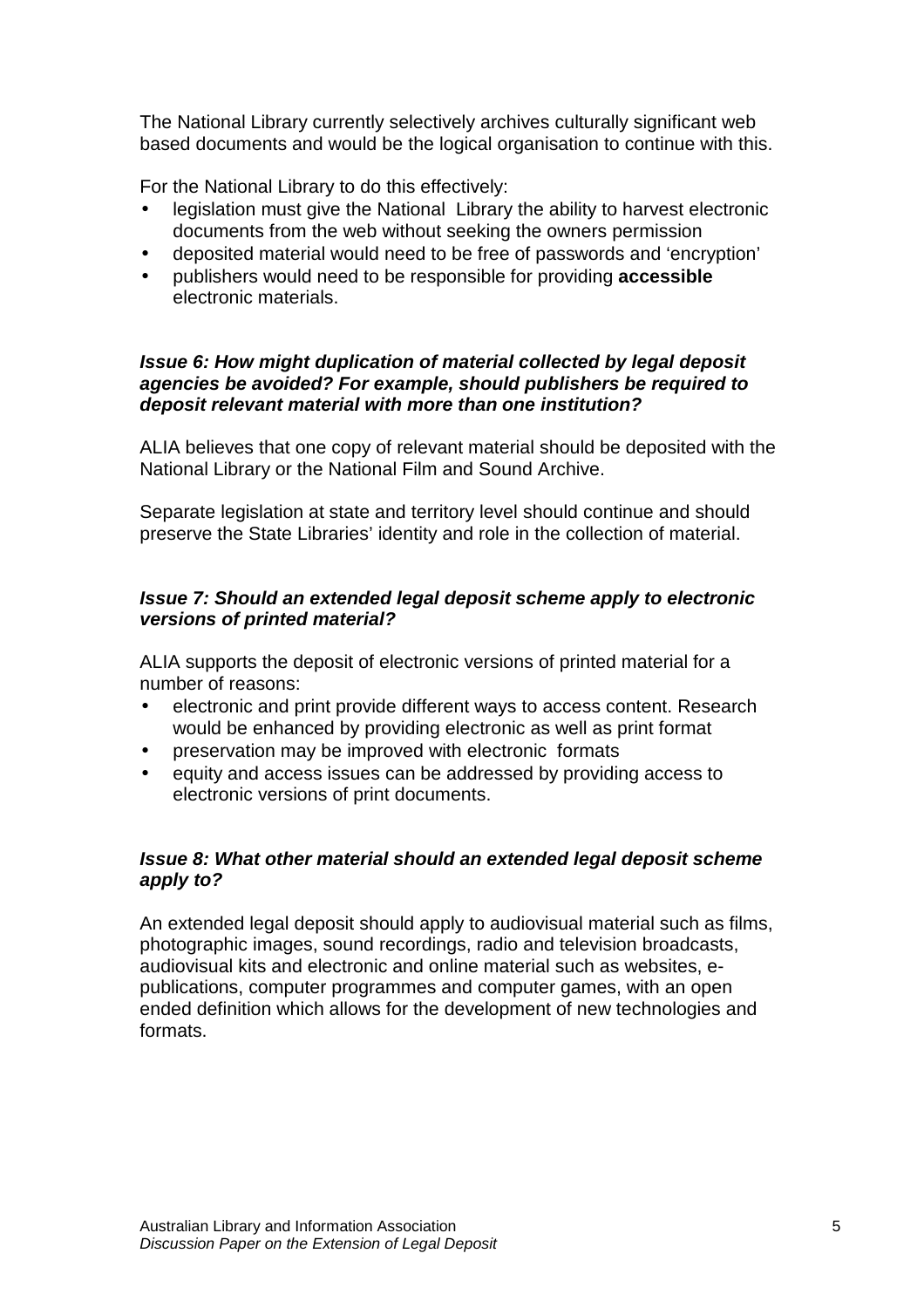The National Library currently selectively archives culturally significant web based documents and would be the logical organisation to continue with this.

For the National Library to do this effectively:

- legislation must give the National Library the ability to harvest electronic documents from the web without seeking the owners permission
- deposited material would need to be free of passwords and 'encryption'
- publishers would need to be responsible for providing **accessible** electronic materials.

# **Issue 6: How might duplication of material collected by legal deposit agencies be avoided? For example, should publishers be required to deposit relevant material with more than one institution?**

ALIA believes that one copy of relevant material should be deposited with the National Library or the National Film and Sound Archive.

Separate legislation at state and territory level should continue and should preserve the State Libraries' identity and role in the collection of material.

# **Issue 7: Should an extended legal deposit scheme apply to electronic versions of printed material?**

ALIA supports the deposit of electronic versions of printed material for a number of reasons:

- electronic and print provide different ways to access content. Research would be enhanced by providing electronic as well as print format
- preservation may be improved with electronic formats
- equity and access issues can be addressed by providing access to electronic versions of print documents.

# **Issue 8: What other material should an extended legal deposit scheme apply to?**

An extended legal deposit should apply to audiovisual material such as films, photographic images, sound recordings, radio and television broadcasts, audiovisual kits and electronic and online material such as websites, epublications, computer programmes and computer games, with an open ended definition which allows for the development of new technologies and formats.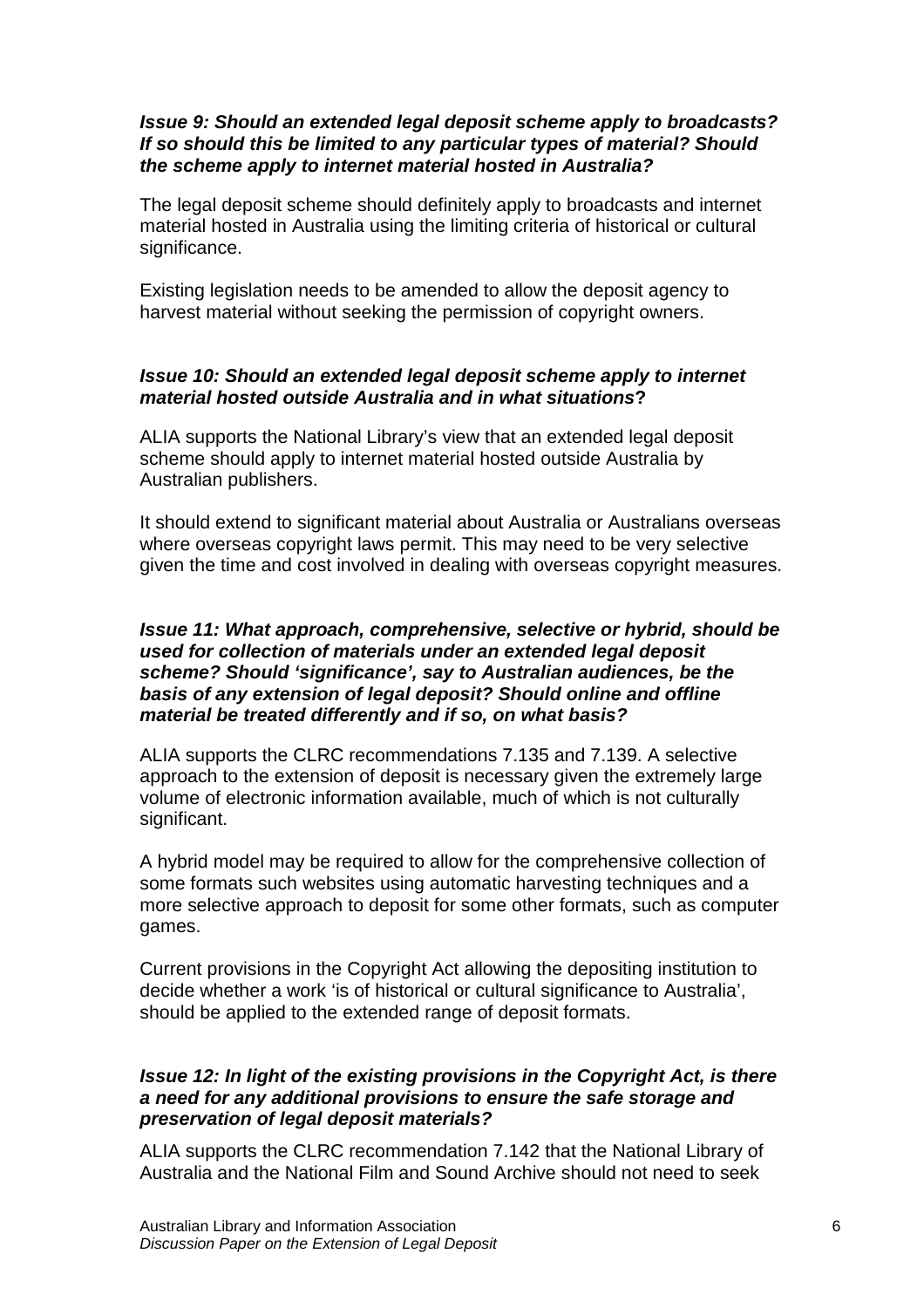# **Issue 9: Should an extended legal deposit scheme apply to broadcasts? If so should this be limited to any particular types of material? Should the scheme apply to internet material hosted in Australia?**

The legal deposit scheme should definitely apply to broadcasts and internet material hosted in Australia using the limiting criteria of historical or cultural significance.

Existing legislation needs to be amended to allow the deposit agency to harvest material without seeking the permission of copyright owners.

# **Issue 10: Should an extended legal deposit scheme apply to internet material hosted outside Australia and in what situations?**

ALIA supports the National Library's view that an extended legal deposit scheme should apply to internet material hosted outside Australia by Australian publishers.

It should extend to significant material about Australia or Australians overseas where overseas copyright laws permit. This may need to be very selective given the time and cost involved in dealing with overseas copyright measures.

#### **Issue 11: What approach, comprehensive, selective or hybrid, should be used for collection of materials under an extended legal deposit scheme? Should 'significance', say to Australian audiences, be the basis of any extension of legal deposit? Should online and offline material be treated differently and if so, on what basis?**

ALIA supports the CLRC recommendations 7.135 and 7.139. A selective approach to the extension of deposit is necessary given the extremely large volume of electronic information available, much of which is not culturally significant.

A hybrid model may be required to allow for the comprehensive collection of some formats such websites using automatic harvesting techniques and a more selective approach to deposit for some other formats, such as computer games.

Current provisions in the Copyright Act allowing the depositing institution to decide whether a work 'is of historical or cultural significance to Australia', should be applied to the extended range of deposit formats.

# **Issue 12: In light of the existing provisions in the Copyright Act, is there a need for any additional provisions to ensure the safe storage and preservation of legal deposit materials?**

ALIA supports the CLRC recommendation 7.142 that the National Library of Australia and the National Film and Sound Archive should not need to seek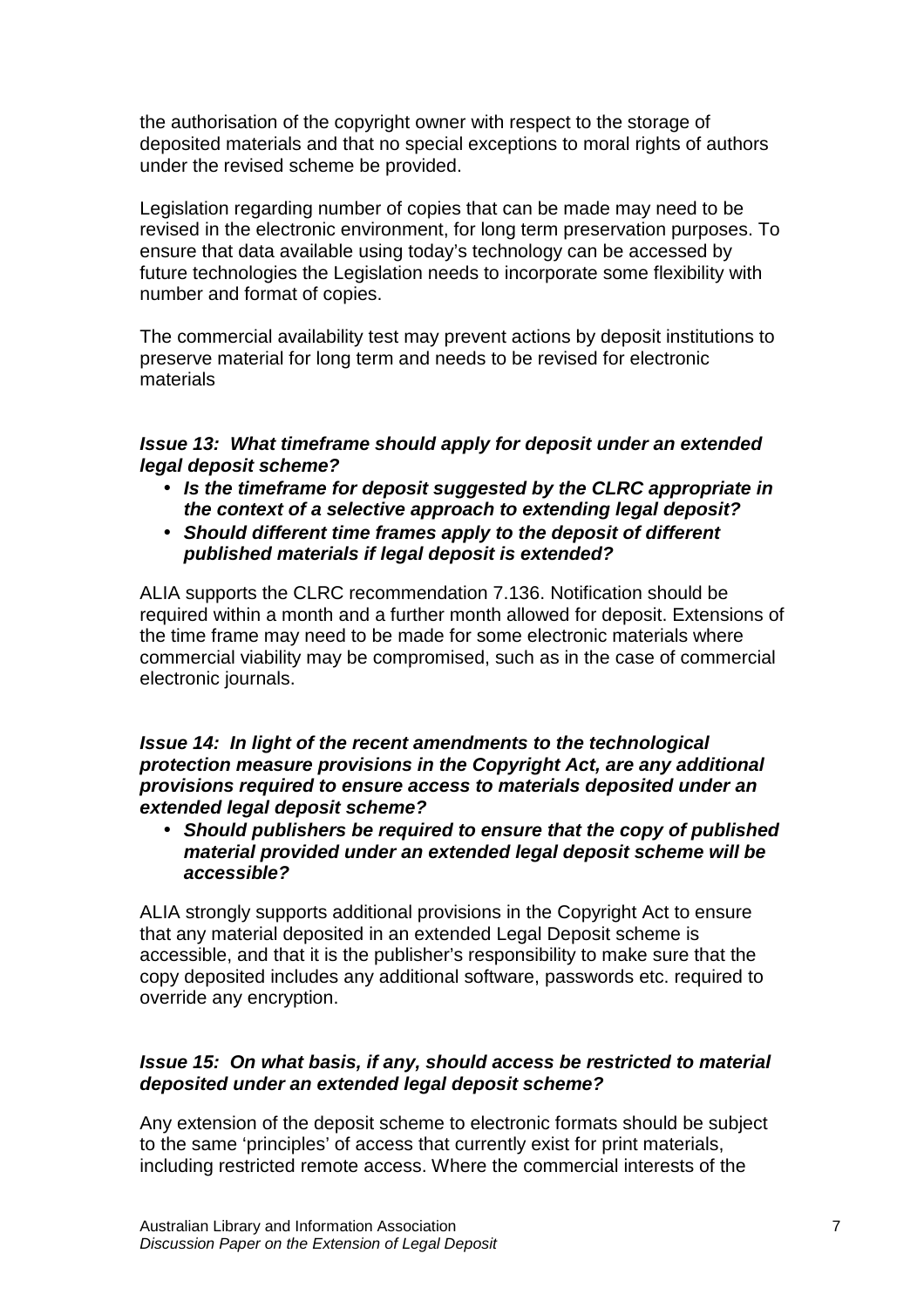the authorisation of the copyright owner with respect to the storage of deposited materials and that no special exceptions to moral rights of authors under the revised scheme be provided.

Legislation regarding number of copies that can be made may need to be revised in the electronic environment, for long term preservation purposes. To ensure that data available using today's technology can be accessed by future technologies the Legislation needs to incorporate some flexibility with number and format of copies.

The commercial availability test may prevent actions by deposit institutions to preserve material for long term and needs to be revised for electronic materials

# **Issue 13: What timeframe should apply for deposit under an extended legal deposit scheme?**

- **Is the timeframe for deposit suggested by the CLRC appropriate in the context of a selective approach to extending legal deposit?**
- **Should different time frames apply to the deposit of different published materials if legal deposit is extended?**

ALIA supports the CLRC recommendation 7.136. Notification should be required within a month and a further month allowed for deposit. Extensions of the time frame may need to be made for some electronic materials where commercial viability may be compromised, such as in the case of commercial electronic journals.

**Issue 14: In light of the recent amendments to the technological protection measure provisions in the Copyright Act, are any additional provisions required to ensure access to materials deposited under an extended legal deposit scheme?** 

• **Should publishers be required to ensure that the copy of published material provided under an extended legal deposit scheme will be accessible?** 

ALIA strongly supports additional provisions in the Copyright Act to ensure that any material deposited in an extended Legal Deposit scheme is accessible, and that it is the publisher's responsibility to make sure that the copy deposited includes any additional software, passwords etc. required to override any encryption.

#### **Issue 15: On what basis, if any, should access be restricted to material deposited under an extended legal deposit scheme?**

Any extension of the deposit scheme to electronic formats should be subject to the same 'principles' of access that currently exist for print materials, including restricted remote access. Where the commercial interests of the